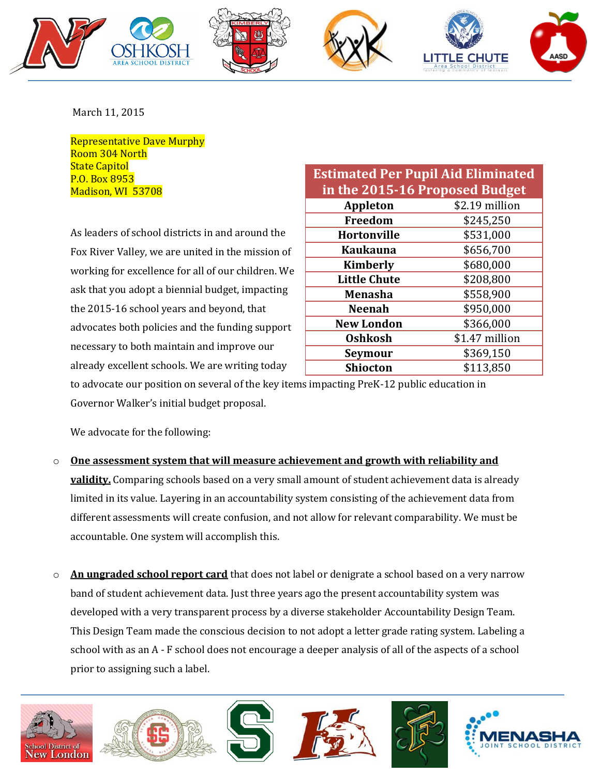









March 11, 2015

Representative Dave Murphy Room 304 North **State Capitol** P.O. Box 8953 Madison, WI 53708

As leaders of school districts in and around the Fox River Valley, we are united in the mission of working for excellence for all of our children. We ask that you adopt a biennial budget, impacting the 2015-16 school years and beyond, that advocates both policies and the funding support necessary to both maintain and improve our already excellent schools. We are writing today

| <b>Estimated Per Pupil Aid Eliminated</b><br>in the 2015-16 Proposed Budget |                |  |
|-----------------------------------------------------------------------------|----------------|--|
| <b>Appleton</b>                                                             | \$2.19 million |  |
| Freedom                                                                     | \$245,250      |  |
| <b>Hortonville</b>                                                          | \$531,000      |  |
| <b>Kaukauna</b>                                                             | \$656,700      |  |
| <b>Kimberly</b>                                                             | \$680,000      |  |
| <b>Little Chute</b>                                                         | \$208,800      |  |
| <b>Menasha</b>                                                              | \$558,900      |  |
| <b>Neenah</b>                                                               | \$950,000      |  |
| <b>New London</b>                                                           | \$366,000      |  |
| <b>Oshkosh</b>                                                              | \$1.47 million |  |
| Seymour                                                                     | \$369,150      |  |
| <b>Shiocton</b>                                                             | \$113,850      |  |

to advocate our position on several of the key items impacting PreK-12 public education in Governor Walker's initial budget proposal.

We advocate for the following:

- o **One assessment system that will measure achievement and growth with reliability and validity.** Comparing schools based on a very small amount of student achievement data is already limited in its value. Layering in an accountability system consisting of the achievement data from different assessments will create confusion, and not allow for relevant comparability. We must be accountable. One system will accomplish this.
- o **An ungraded school report card** that does not label or denigrate a school based on a very narrow band of student achievement data. Just three years ago the present accountability system was developed with a very transparent process by a diverse stakeholder Accountability Design Team. This Design Team made the conscious decision to not adopt a letter grade rating system. Labeling a school with as an A - F school does not encourage a deeper analysis of all of the aspects of a school prior to assigning such a label.